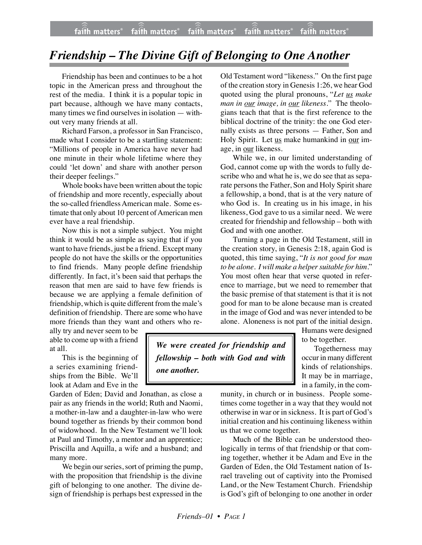## *Friendship – The Divine Gift of Belonging to One Another*

Friendship has been and continues to be a hot topic in the American press and throughout the rest of the media. I think it is a popular topic in part because, although we have many contacts, many times we find ourselves in isolation — without very many friends at all.

Richard Farson, a professor in San Francisco, made what I consider to be a startling statement: "Millions of people in America have never had one minute in their whole lifetime where they could 'let down' and share with another person their deeper feelings."

Whole books have been written about the topic of friendship and more recently, especially about the so-called friendless American male. Some estimate that only about 10 percent of American men ever have a real friendship.

Now this is not a simple subject. You might think it would be as simple as saying that if you want to have friends, just be a friend. Except many people do not have the skills or the opportunities to find friends. Many people define friendship differently. In fact, it's been said that perhaps the reason that men are said to have few friends is because we are applying a female definition of friendship, which is quite different from the male's definition of friendship. There are some who have more friends than they want and others who re-

ally try and never seem to be able to come up with a friend at all.

This is the beginning of a series examining friendships from the Bible. We'll look at Adam and Eve in the

Garden of Eden; David and Jonathan, as close a pair as any friends in the world; Ruth and Naomi, a mother-in-law and a daughter-in-law who were bound together as friends by their common bond of widowhood. In the New Testament we'll look at Paul and Timothy, a mentor and an apprentice; Priscilla and Aquilla, a wife and a husband; and many more.

We begin our series, sort of priming the pump, with the proposition that friendship is the divine gift of belonging to one another. The divine design of friendship is perhaps best expressed in the

Old Testament word "likeness." On the first page of the creation story in Genesis 1:26, we hear God quoted using the plural pronouns, "*Let us make man in our image, in our likeness*." The theologians teach that that is the first reference to the biblical doctrine of the trinity: the one God eternally exists as three persons — Father, Son and Holy Spirit. Let us make humankind in our image, in our likeness.

While we, in our limited understanding of God, cannot come up with the words to fully describe who and what he is, we do see that as separate persons the Father, Son and Holy Spirit share a fellowship, a bond, that is at the very nature of who God is. In creating us in his image, in his likeness, God gave to us a similar need. We were created for friendship and fellowship – both with God and with one another.

Turning a page in the Old Testament, still in the creation story, in Genesis 2:18, again God is quoted, this time saying, "*It is not good for man to be alone. I will make a helper suitable for him.*" You most often hear that verse quoted in reference to marriage, but we need to remember that the basic premise of that statement is that it is not good for man to be alone because man is created in the image of God and was never intended to be alone. Aloneness is not part of the initial design.

Humans were designed to be together.

Togetherness may occur in many different kinds of relationships. It may be in marriage, in a family, in the com-

*We were created for friendship and fellowship – both with God and with one another.*

> munity, in church or in business. People sometimes come together in a way that they would not otherwise in war or in sickness. It is part of God's initial creation and his continuing likeness within us that we come together.

> Much of the Bible can be understood theologically in terms of that friendship or that coming together, whether it be Adam and Eve in the Garden of Eden, the Old Testament nation of Israel traveling out of captivity into the Promised Land, or the New Testament Church. Friendship is God's gift of belonging to one another in order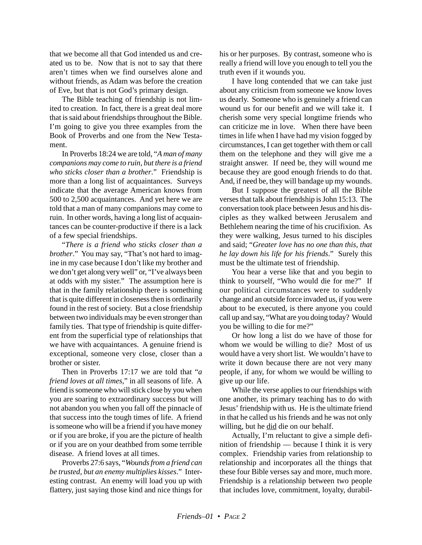that we become all that God intended us and created us to be. Now that is not to say that there aren't times when we find ourselves alone and without friends, as Adam was before the creation of Eve, but that is not God's primary design.

The Bible teaching of friendship is not limited to creation. In fact, there is a great deal more that is said about friendships throughout the Bible. I'm going to give you three examples from the Book of Proverbs and one from the New Testament.

In Proverbs 18:24 we are told, "*A man of many companions may come to ruin, but there is a friend who sticks closer than a brother*." Friendship is more than a long list of acquaintances. Surveys indicate that the average American knows from 500 to 2,500 acquaintances. And yet here we are told that a man of many companions may come to ruin. In other words, having a long list of acquaintances can be counter-productive if there is a lack of a few special friendships.

"*There is a friend who sticks closer than a brother*." You may say, "That's not hard to imagine in my case because I don't like my brother and we don't get along very well" or, "I've always been at odds with my sister." The assumption here is that in the family relationship there is something that is quite different in closeness then is ordinarily found in the rest of society. But a close friendship between two individuals may be even stronger than family ties. That type of friendship is quite different from the superficial type of relationships that we have with acquaintances. A genuine friend is exceptional, someone very close, closer than a brother or sister.

Then in Proverbs 17:17 we are told that "*a friend loves at all times*," in all seasons of life. A friend is someone who will stick close by you when you are soaring to extraordinary success but will not abandon you when you fall off the pinnacle of that success into the tough times of life. A friend is someone who will be a friend if you have money or if you are broke, if you are the picture of health or if you are on your deathbed from some terrible disease. A friend loves at all times.

Proverbs 27:6 says, "*Wounds from a friend can be trusted, but an enemy multiplies kisses*." Interesting contrast. An enemy will load you up with flattery, just saying those kind and nice things for his or her purposes. By contrast, someone who is really a friend will love you enough to tell you the truth even if it wounds you.

I have long contended that we can take just about any criticism from someone we know loves us dearly. Someone who is genuinely a friend can wound us for our benefit and we will take it. I cherish some very special longtime friends who can criticize me in love. When there have been times in life when I have had my vision fogged by circumstances, I can get together with them or call them on the telephone and they will give me a straight answer. If need be, they will wound me because they are good enough friends to do that. And, if need be, they will bandage up my wounds.

But I suppose the greatest of all the Bible verses that talk about friendship is John 15:13. The conversation took place between Jesus and his disciples as they walked between Jerusalem and Bethlehem nearing the time of his crucifixion. As they were walking, Jesus turned to his disciples and said; "*Greater love has no one than this, that he lay down his life for his friends*." Surely this must be the ultimate test of friendship.

You hear a verse like that and you begin to think to yourself, "Who would die for me?" If our political circumstances were to suddenly change and an outside force invaded us, if you were about to be executed, is there anyone you could call up and say, "What are you doing today? Would you be willing to die for me?"

Or how long a list do we have of those for whom we would be willing to die? Most of us would have a very short list. We wouldn't have to write it down because there are not very many people, if any, for whom we would be willing to give up our life.

While the verse applies to our friendships with one another, its primary teaching has to do with Jesus' friendship with us. He is the ultimate friend in that he called us his friends and he was not only willing, but he did die on our behalf.

Actually, I'm reluctant to give a simple definition of friendship — because I think it is very complex. Friendship varies from relationship to relationship and incorporates all the things that these four Bible verses say and more, much more. Friendship is a relationship between two people that includes love, commitment, loyalty, durabil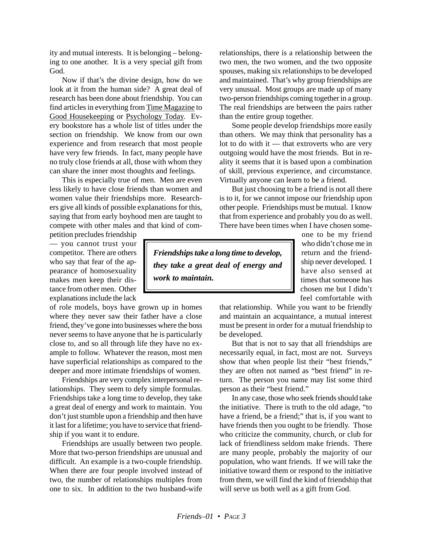ity and mutual interests. It is belonging – belonging to one another. It is a very special gift from God.

Now if that's the divine design, how do we look at it from the human side? A great deal of research has been done about friendship. You can find articles in everything from Time Magazine to Good Housekeeping or Psychology Today. Every bookstore has a whole list of titles under the section on friendship. We know from our own experience and from research that most people have very few friends. In fact, many people have no truly close friends at all, those with whom they can share the inner most thoughts and feelings.

This is especially true of men. Men are even less likely to have close friends than women and women value their friendships more. Researchers give all kinds of possible explanations for this, saying that from early boyhood men are taught to compete with other males and that kind of com-

petition precludes friendship — you cannot trust your competitor. There are others who say that fear of the appearance of homosexuality makes men keep their distance from other men. Other explanations include the lack

of role models, boys have grown up in homes where they never saw their father have a close friend, they've gone into businesses where the boss never seems to have anyone that he is particularly close to, and so all through life they have no example to follow. Whatever the reason, most men have superficial relationships as compared to the deeper and more intimate friendships of women.

Friendships are very complex interpersonal relationships. They seem to defy simple formulas. Friendships take a long time to develop, they take a great deal of energy and work to maintain. You don't just stumble upon a friendship and then have it last for a lifetime; you have to service that friendship if you want it to endure.

Friendships are usually between two people. More that two-person friendships are unusual and difficult. An example is a two-couple friendship. When there are four people involved instead of two, the number of relationships multiples from one to six. In addition to the two husband-wife relationships, there is a relationship between the two men, the two women, and the two opposite spouses, making six relationships to be developed and maintained. That's why group friendships are very unusual. Most groups are made up of many two-person friendships coming together in a group. The real friendships are between the pairs rather than the entire group together.

Some people develop friendships more easily than others. We may think that personality has a lot to do with it — that extroverts who are very outgoing would have the most friends. But in reality it seems that it is based upon a combination of skill, previous experience, and circumstance. Virtually anyone can learn to be a friend.

But just choosing to be a friend is not all there is to it, for we cannot impose our friendship upon other people. Friendships must be mutual. I know that from experience and probably you do as well. There have been times when I have chosen some-

*Friendships take a long time to develop, they take a great deal of energy and work to maintain.*

one to be my friend who didn't chose me in return and the friendship never developed. I have also sensed at times that someone has chosen me but I didn't feel comfortable with

that relationship. While you want to be friendly and maintain an acquaintance, a mutual interest must be present in order for a mutual friendship to be developed.

But that is not to say that all friendships are necessarily equal, in fact, most are not. Surveys show that when people list their "best friends," they are often not named as "best friend" in return. The person you name may list some third person as their "best friend."

In any case, those who seek friends should take the initiative. There is truth to the old adage, "to have a friend, be a friend;" that is, if you want to have friends then you ought to be friendly. Those who criticize the community, church, or club for lack of friendliness seldom make friends. There are many people, probably the majority of our population, who want friends. If we will take the initiative toward them or respond to the initiative from them, we will find the kind of friendship that will serve us both well as a gift from God.